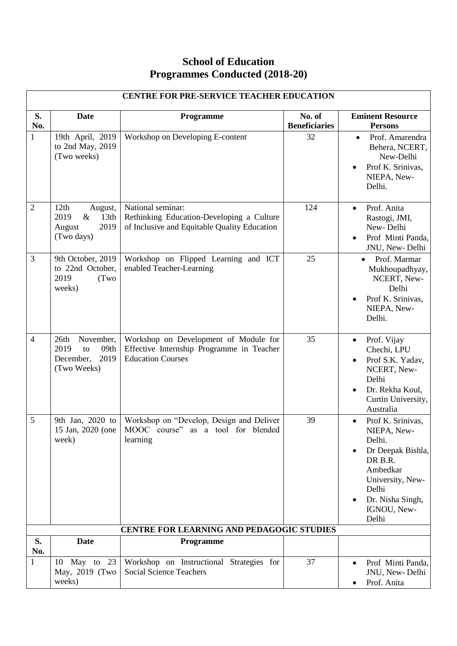## **School of Education Programmes Conducted (2018-20)**

| CENTRE FOR PRE-SERVICE TEACHER EDUCATION |                                                                                         |                                                                                                                       |                                |                                                                                                                                                                      |  |
|------------------------------------------|-----------------------------------------------------------------------------------------|-----------------------------------------------------------------------------------------------------------------------|--------------------------------|----------------------------------------------------------------------------------------------------------------------------------------------------------------------|--|
| S.<br>No.                                | <b>Date</b>                                                                             | Programme                                                                                                             | No. of<br><b>Beneficiaries</b> | <b>Eminent Resource</b><br><b>Persons</b>                                                                                                                            |  |
| $\mathbf{1}$                             | 19th April, 2019<br>to 2nd May, 2019<br>(Two weeks)                                     | Workshop on Developing E-content                                                                                      | 32                             | Prof. Amarendra<br>$\bullet$<br>Behera, NCERT,<br>New-Delhi<br>Prof K. Srinivas,<br>NIEPA, New-<br>Delhi.                                                            |  |
| $\overline{2}$                           | 12th<br>August,<br>2019<br>$\&$<br>13 <sub>th</sub><br>2019<br>August<br>(Two days)     | National seminar:<br>124<br>Rethinking Education-Developing a Culture<br>of Inclusive and Equitable Quality Education |                                | Prof. Anita<br>$\bullet$<br>Rastogi, JMI,<br>New-Delhi<br>Prof Minti Panda,<br>$\bullet$<br>JNU, New-Delhi                                                           |  |
| 3                                        | 9th October, 2019<br>to 22nd October,<br>2019<br>(Two<br>weeks)                         | Workshop on Flipped Learning and ICT<br>enabled Teacher-Learning                                                      | 25                             | Prof. Marmar<br>Mukhoupadhyay,<br>NCERT, New-<br>Delhi<br>Prof K. Srinivas,<br>NIEPA, New-<br>Delhi.                                                                 |  |
| $\overline{4}$                           | November,<br>26 <sup>th</sup><br>2019<br>09th<br>to<br>2019<br>December,<br>(Two Weeks) | Workshop on Development of Module for<br>Effective Internship Programme in Teacher<br><b>Education Courses</b>        | 35                             | Prof. Vijay<br>$\bullet$<br>Chechi, LPU<br>Prof S.K. Yadav,<br>NCERT, New-<br>Delhi<br>Dr. Rekha Koul,<br>Curtin University,<br>Australia                            |  |
| 5                                        | 9th Jan, 2020 to<br>15 Jan, 2020 (one<br>week)                                          | Workshop on "Develop, Design and Deliver<br>MOOC course" as a tool for blended<br>learning                            | 39                             | Prof K. Srinivas,<br>NIEPA, New-<br>Delhi.<br>Dr Deepak Bishla,<br>DR B.R.<br>Ambedkar<br>University, New-<br>Delhi<br>Dr. Nisha Singh,<br>٠<br>IGNOU, New-<br>Delhi |  |
|                                          |                                                                                         | <b>CENTRE FOR LEARNING AND PEDAGOGIC STUDIES</b>                                                                      |                                |                                                                                                                                                                      |  |
| S.<br>No.                                | <b>Date</b>                                                                             | Programme                                                                                                             |                                |                                                                                                                                                                      |  |
| $\mathbf{1}$                             | 10 May to 23<br>May, 2019 (Two<br>weeks)                                                | Workshop on Instructional Strategies for<br><b>Social Science Teachers</b>                                            | 37                             | Prof Minti Panda,<br>$\bullet$<br>JNU, New-Delhi<br>Prof. Anita<br>$\bullet$                                                                                         |  |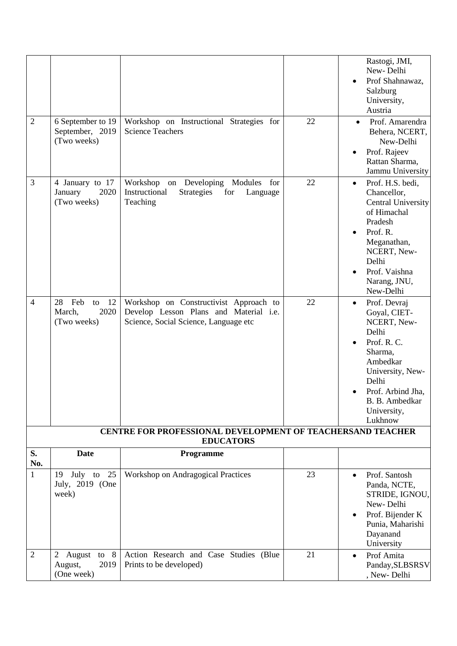|                                                                                       |                                                                                                             |                                                                                                                                                                                                                                            |          | Rastogi, JMI,<br>New-Delhi<br>Prof Shahnawaz,<br>Salzburg<br>University,<br>Austria                                                                                                                                                                                                           |  |
|---------------------------------------------------------------------------------------|-------------------------------------------------------------------------------------------------------------|--------------------------------------------------------------------------------------------------------------------------------------------------------------------------------------------------------------------------------------------|----------|-----------------------------------------------------------------------------------------------------------------------------------------------------------------------------------------------------------------------------------------------------------------------------------------------|--|
| $\overline{2}$                                                                        | 6 September to 19<br>September, 2019<br>(Two weeks)                                                         | Workshop on Instructional Strategies for<br><b>Science Teachers</b>                                                                                                                                                                        | 22       | Prof. Amarendra<br>Behera, NCERT,<br>New-Delhi<br>Prof. Rajeev<br>Rattan Sharma,                                                                                                                                                                                                              |  |
| 3<br>4                                                                                | 4 January to 17<br>January<br>2020<br>(Two weeks)<br>28<br>Feb<br>12<br>to<br>2020<br>March,<br>(Two weeks) | Workshop on Developing<br>Modules<br>for<br>Instructional<br><b>Strategies</b><br>for<br>Language<br>Teaching<br>Workshop on Constructivist Approach to<br>Develop Lesson Plans and Material i.e.<br>Science, Social Science, Language etc | 22<br>22 | Jammu University<br>Prof. H.S. bedi,<br>$\bullet$<br>Chancellor,<br><b>Central University</b><br>of Himachal<br>Pradesh<br>Prof. R.<br>Meganathan,<br>NCERT, New-<br>Delhi<br>Prof. Vaishna<br>Narang, JNU,<br>New-Delhi<br>Prof. Devraj<br>$\bullet$<br>Goyal, CIET-<br>NCERT, New-<br>Delhi |  |
|                                                                                       |                                                                                                             |                                                                                                                                                                                                                                            |          | Prof. R. C.<br>$\bullet$<br>Sharma,<br>Ambedkar<br>University, New-<br>Delhi<br>Prof. Arbind Jha,<br>B. B. Ambedkar<br>University,<br>Lukhnow                                                                                                                                                 |  |
| <b>CENTRE FOR PROFESSIONAL DEVELOPMENT OF TEACHERSAND TEACHER</b><br><b>EDUCATORS</b> |                                                                                                             |                                                                                                                                                                                                                                            |          |                                                                                                                                                                                                                                                                                               |  |
| S.<br>No.                                                                             | <b>Date</b>                                                                                                 | Programme                                                                                                                                                                                                                                  |          |                                                                                                                                                                                                                                                                                               |  |
| $\mathbf{1}$                                                                          | 25<br>July to<br>19<br>July, 2019 (One<br>week)                                                             | Workshop on Andragogical Practices                                                                                                                                                                                                         | 23       | Prof. Santosh<br>$\bullet$<br>Panda, NCTE,<br>STRIDE, IGNOU,<br>New-Delhi<br>Prof. Bijender K<br>$\bullet$<br>Punia, Maharishi<br>Dayanand<br>University                                                                                                                                      |  |
| $\overline{2}$                                                                        | 2 August to 8<br>2019<br>August,<br>(One week)                                                              | Action Research and Case Studies (Blue<br>Prints to be developed)                                                                                                                                                                          | 21       | Prof Amita<br>$\bullet$<br>Panday, SLBSRSV<br>, New-Delhi                                                                                                                                                                                                                                     |  |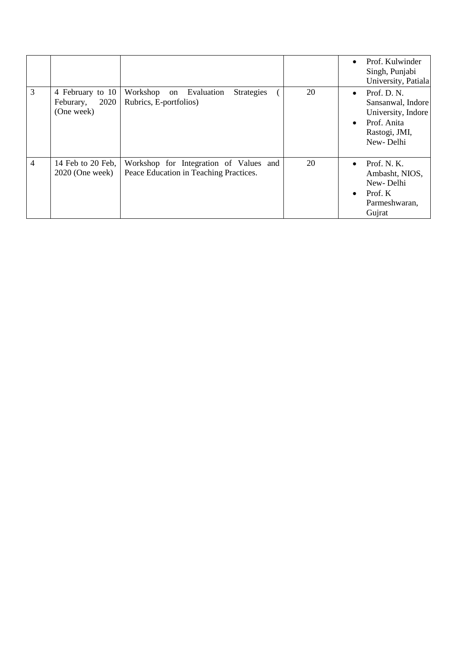|                |                                                     |                                                                                  |    | Prof. Kulwinder<br>$\bullet$<br>Singh, Punjabi<br>University, Patiala                                                         |
|----------------|-----------------------------------------------------|----------------------------------------------------------------------------------|----|-------------------------------------------------------------------------------------------------------------------------------|
| 3              | 4 February to 10<br>2020<br>Feburary,<br>(One week) | Workshop<br>on Evaluation<br><b>Strategies</b><br>Rubrics, E-portfolios)         | 20 | Prof. D. N.<br>$\bullet$<br>Sansanwal, Indore<br>University, Indore<br>Prof. Anita<br>$\bullet$<br>Rastogi, JMI,<br>New-Delhi |
| $\overline{4}$ | 14 Feb to 20 Feb.<br>$2020$ (One week)              | Workshop for Integration of Values and<br>Peace Education in Teaching Practices. | 20 | Prof. N. K.<br>$\bullet$<br>Ambasht, NIOS,<br>New-Delhi<br>Prof. K<br>$\bullet$<br>Parmeshwaran,<br>Gujrat                    |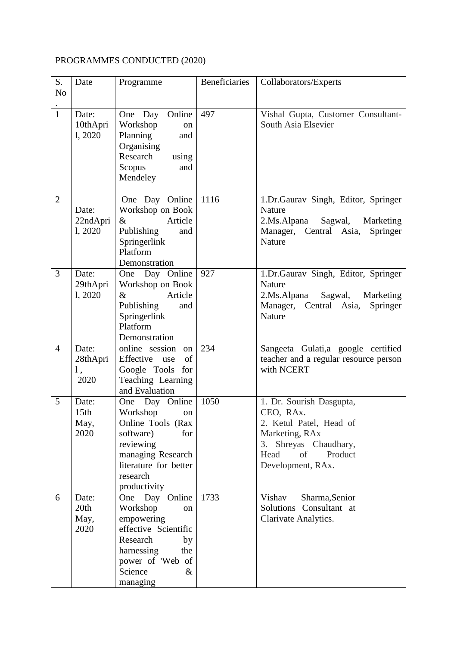## PROGRAMMES CONDUCTED (2020)

| S.             | Date     | Programme                           | Beneficiaries | Collaborators/Experts                 |
|----------------|----------|-------------------------------------|---------------|---------------------------------------|
| N <sub>o</sub> |          |                                     |               |                                       |
| $\mathbf{1}$   | Date:    | Online<br>One Day                   | 497           | Vishal Gupta, Customer Consultant-    |
|                | 10thApri | Workshop<br>on                      |               | South Asia Elsevier                   |
|                | 1,2020   | Planning<br>and                     |               |                                       |
|                |          | Organising                          |               |                                       |
|                |          | Research<br>using                   |               |                                       |
|                |          | Scopus<br>and                       |               |                                       |
|                |          | Mendeley                            |               |                                       |
| $\overline{2}$ |          | One Day Online                      | 1116          | 1.Dr.Gaurav Singh, Editor, Springer   |
|                | Date:    | Workshop on Book                    |               | Nature                                |
|                | 22ndApri | Article<br>&                        |               | 2.Ms.Alpana<br>Sagwal,<br>Marketing   |
|                | 1,2020   | Publishing<br>and                   |               | Manager, Central Asia,<br>Springer    |
|                |          | Springerlink                        |               | Nature                                |
|                |          | Platform                            |               |                                       |
| $\overline{3}$ | Date:    | Demonstration                       | 927           | 1.Dr.Gaurav Singh, Editor, Springer   |
|                | 29thApri | One Day Online<br>Workshop on Book  |               | Nature                                |
|                | 1, 2020  | Article<br>$\&$                     |               | 2.Ms.Alpana<br>Sagwal,<br>Marketing   |
|                |          | Publishing<br>and                   |               | Manager,<br>Central Asia,<br>Springer |
|                |          | Springerlink                        |               | Nature                                |
|                |          | Platform                            |               |                                       |
|                |          | Demonstration                       |               |                                       |
| $\overline{4}$ | Date:    | online session<br>on                | 234           | Sangeeta Gulati,a google certified    |
|                | 28thApri | Effective use<br>of                 |               | teacher and a regular resource person |
|                | 1,       | Google Tools for                    |               | with NCERT                            |
|                | 2020     | Teaching Learning<br>and Evaluation |               |                                       |
| 5              | Date:    | One Day Online                      | 1050          | 1. Dr. Sourish Dasgupta,              |
|                | 15th     | Workshop<br>on                      |               | CEO, RAx.                             |
|                | May,     | Online Tools (Rax                   |               | 2. Ketul Patel, Head of               |
|                | 2020     | software)<br>for                    |               | Marketing, RAx                        |
|                |          | reviewing                           |               | 3. Shreyas Chaudhary,                 |
|                |          | managing Research                   |               | Head<br>of<br>Product                 |
|                |          | literature for better               |               | Development, RAx.                     |
|                |          | research                            |               |                                       |
| 6              | Date:    | productivity<br>One Day Online      | 1733          | Vishav<br>Sharma, Senior              |
|                | 20th     | Workshop<br>on                      |               | Solutions Consultant at               |
|                | May,     | empowering                          |               | Clarivate Analytics.                  |
|                | 2020     | effective Scientific                |               |                                       |
|                |          | Research<br>by                      |               |                                       |
|                |          | harnessing<br>the                   |               |                                       |
|                |          | power of 'Web of                    |               |                                       |
|                |          | Science<br>&                        |               |                                       |
|                |          | managing                            |               |                                       |